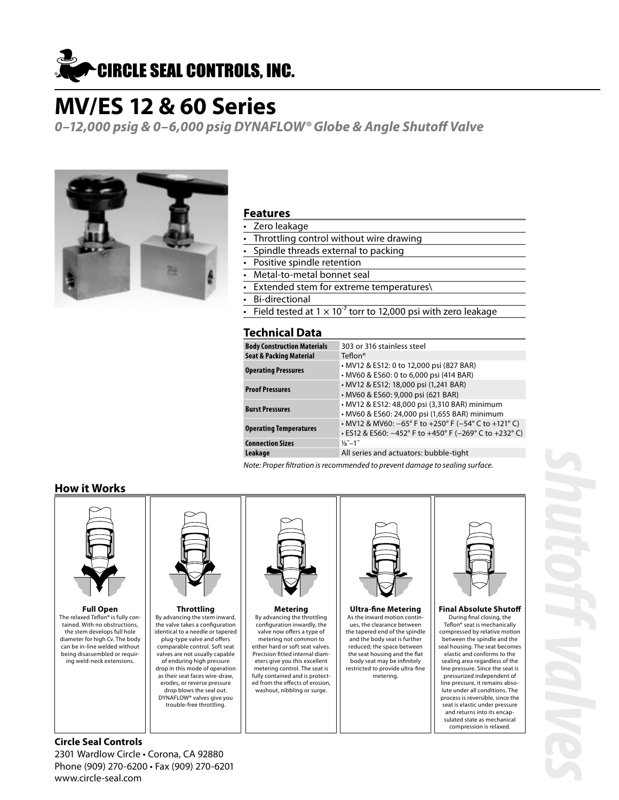

**0–12,000 psig & 0–6,000 psig DYNAFLOW® Globe & Angle Shutoff Valve**



#### **Features**

- Zero leakage
- Throttling control without wire drawing
- Spindle threads external to packing
- Positive spindle retention
- Metal-to-metal bonnet seal
- Extended stem for extreme temperatures\
- Bi-directional
- Field tested at  $1 \times 10^{-7}$  torr to 12,000 psi with zero leakage

### **Technical Data**

| <b>Body Construction Materials</b> | 303 or 316 stainless steel                                                                                                                                |
|------------------------------------|-----------------------------------------------------------------------------------------------------------------------------------------------------------|
| <b>Seat &amp; Packing Material</b> | Teflon <sup>®</sup>                                                                                                                                       |
| <b>Operating Pressures</b>         | • MV12 & ES12: 0 to 12,000 psi (827 BAR)<br>• MV60 & ES60: 0 to 6,000 psi (414 BAR)                                                                       |
| <b>Proof Pressures</b>             | • MV12 & ES12: 18,000 psi (1,241 BAR)<br>• MV60 & ES60: 9,000 psi (621 BAR)                                                                               |
| <b>Burst Pressures</b>             | • MV12 & ES12: 48,000 psi (3,310 BAR) minimum<br>· MV60 & ES60: 24,000 psi (1,655 BAR) minimum                                                            |
| <b>Operating Temperatures</b>      | • MV12 & MV60: $-65^{\circ}$ F to $+250^{\circ}$ F ( $-54^{\circ}$ C to $+121^{\circ}$ C)<br>$\cdot$ ES12 & ES60: -452° F to +450° F (-269° C to +232° C) |
| <b>Connection Sizes</b>            | $\frac{1}{8}$ –1"                                                                                                                                         |
| Leakage                            | All series and actuators: bubble-tight                                                                                                                    |
|                                    |                                                                                                                                                           |

Note: Proper filtration is recommended to prevent damage to sealing surface.

### **How it Works**



### **Circle Seal Controls**

2301 Wardlow Circle • Corona, CA 92880 Phone (909) 270-6200 • Fax (909) 270-6201 www.circle-seal.com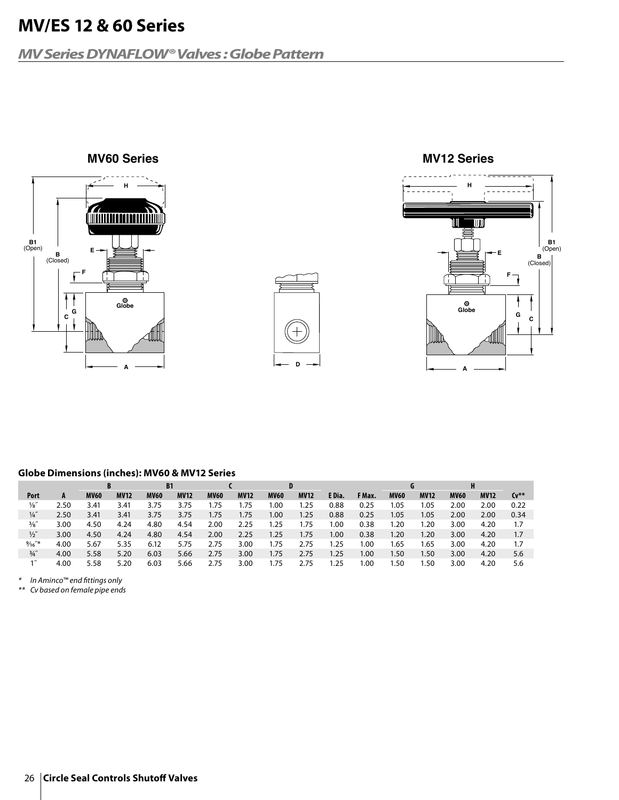### **MV Series DYNAFLOW® Valves : Globe Pattern**







#### **Globe Dimensions (inches): MV60 & MV12 Series**

|                 |      | B           |             | <b>B1</b>   |             |             |             | D           |             |        |        |             |             | H           |             |        |
|-----------------|------|-------------|-------------|-------------|-------------|-------------|-------------|-------------|-------------|--------|--------|-------------|-------------|-------------|-------------|--------|
| Port            | A    | <b>MV60</b> | <b>MV12</b> | <b>MV60</b> | <b>MV12</b> | <b>MV60</b> | <b>MV12</b> | <b>MV60</b> | <b>MV12</b> | E Dia. | F Max. | <b>MV60</b> | <b>MV12</b> | <b>MV60</b> | <b>MV12</b> | $Cv^*$ |
| $\frac{1}{8}$   | 2.50 | 3.41        | 3.41        | 3.75        | 3.75        | 75،،        | 75،،        | 00.١        | l.25        | 0.88   | 0.25   | .05         | 1.05        | 2.00        | 2.00        | 0.22   |
| $\frac{1}{4}$   | 2.50 | 3.41        | 3.41        | 3.75        | 3.75        | 1.75        | .75         | 1.00        | 1.25        | 0.88   | 0.25   | l.05        | 1.05        | 2.00        | 2.00        | 0.34   |
| $\frac{3}{8}$ " | 3.00 | 4.50        | 4.24        | 4.80        | 4.54        | 2.00        | 2.25        | .25         | .75         | 1.00   | 0.38   | . 20        | 1.20        | 3.00        | 4.20        | 1.7    |
| $\frac{1}{2}$   | 3.00 | 4.50        | 4.24        | 4.80        | 4.54        | 2.00        | 2.25        | 1.25        | 1.75        | 1.00   | 0.38   | .20         | 1.20        | 3.00        | 4.20        | 1.7    |
| $\frac{9}{16}$  | 4.00 | 5.67        | 5.35        | 6.12        | 5.75        | 2.75        | 3.00        | 1.75        | 2.75        | 1.25   | 1.00   | .65         | 1.65        | 3.00        | 4.20        | 1.7    |
| $\frac{3}{4}$   | 4.00 | 5.58        | 5.20        | 6.03        | 5.66        | 2.75        | 3.00        | 1.75        | 2.75        | 1.25   | 1.00   | . 50        | 1.50        | 3.00        | 4.20        | 5.6    |
| $\mathbf{1}''$  | 4.00 | 5.58        | 5.20        | 6.03        | 5.66        | 2.75        | 3.00        | 1.75        | 2.75        | 1.25   | 1.00   | . 50        | .50         | 3.00        | 4.20        | 5.6    |

\* In Aminco™ end fittings only

\*\* Cv based on female pipe ends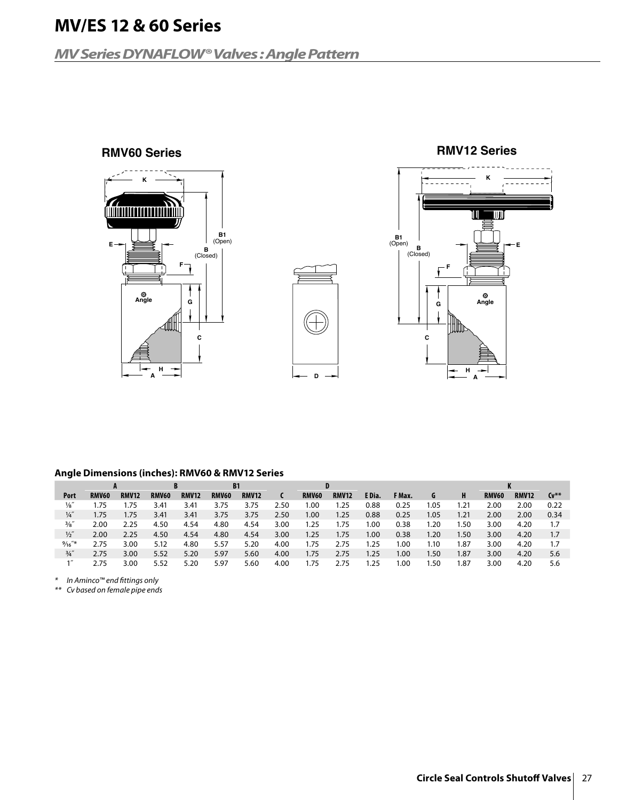### **MV Series DYNAFLOW® Valves : Angle Pattern**







#### **Angle Dimensions (inches): RMV60 & RMV12 Series**

|                | A            |              |              | <b>B1</b>    |              |              |      |              |              |        |        |      |      | n.           |              |           |
|----------------|--------------|--------------|--------------|--------------|--------------|--------------|------|--------------|--------------|--------|--------|------|------|--------------|--------------|-----------|
| Port           | <b>RMV60</b> | <b>RMV12</b> | <b>RMV60</b> | <b>RMV12</b> | <b>RMV60</b> | <b>RMV12</b> |      | <b>RMV60</b> | <b>RMV12</b> | E Dia. | F Max. | G    | н    | <b>RMV60</b> | <b>RMV12</b> | $Cv^{**}$ |
| $\frac{1}{8}$  | ı.75         | .75          | 3.41         | 3.41         | 3.75         | 3.75         | −50∠ | 1.00         | .25          | 0.88   | 0.25   | .05  | .21  | 2.00         | 2.00         | 0.22      |
| $\frac{1}{4}$  | 1.75         | .75          | 3.41         | 3.41         | 3.75         | 3.75         | 2.50 | 1.00         | 1.25         | 0.88   | 0.25   | I.05 | 1.21 | 2.00         | 2.00         | 0.34      |
| $\frac{3}{8}$  | 2.00         | 2.25         | 4.50         | 4.54         | 4.80         | 4.54         | 3.00 | 1.25         | 75،،         | 00،،   | 0.38   | .20  | .50  | 3.00         | 4.20         | 1.7       |
| $\frac{1}{2}$  | 2.00         | 2.25         | 4.50         | 4.54         | 4.80         | 4.54         | 3.00 | 1.25         | 1.75         | 1.00   | 0.38   | 1.20 | 1.50 | 3.00         | 4.20         | 1.7       |
| $\frac{9}{16}$ | 2.75         | 3.00         | 5.12         | 4.80         | 5.57         | 5.20         | 4.00 | 75،،         | 2.75         | 1.25   | .00    | 1.10 | . 87 | 3.00         | 4.20         |           |
| $\frac{3}{4}$  | 2.75         | 3.00         | 5.52         | 5.20         | 5.97         | 5.60         | 4.00 | 1.75         | 2.75         | 1.25   | 00.١   | l.50 | 1.87 | 3.00         | 4.20         | 5.6       |
|                | 2.75         | 3.00         | 5.52         | 5.20         | 5.97         | 5.60         | 4.00 | . 75         | 2.75         | 1.25   | .00    | .50  | . 87 | 3.00         | 4.20         | 5.6       |

\* In Aminco™ end fittings only

\*\* Cv based on female pipe ends

### **RMV60 Series RMV12 Series**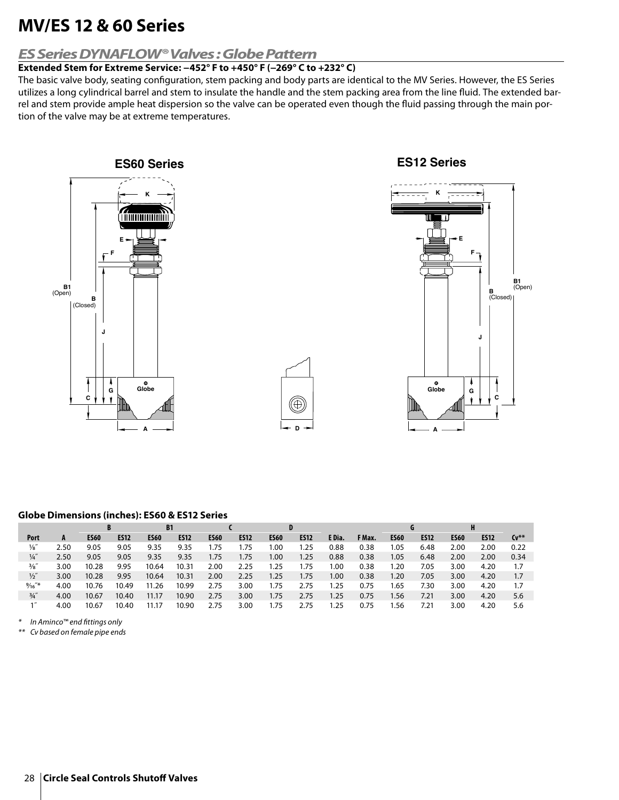### **ES Series DYNAFLOW® Valves : Globe Pattern**

### **Extended Stem for Extreme Service: −452° F to +450° F (−269° C to +232° C)**

The basic valve body, seating configuration, stem packing and body parts are identical to the MV Series. However, the ES Series utilizes a long cylindrical barrel and stem to insulate the handle and the stem packing area from the line fluid. The extended barrel and stem provide ample heat dispersion so the valve can be operated even though the fluid passing through the main portion of the valve may be at extreme temperatures.



### **Globe Dimensions (inches): ES60 & ES12 Series**

|                 |      |             |             | <b>B1</b>   |             |             |             | D           |             |        |        |             |             |             |             |        |
|-----------------|------|-------------|-------------|-------------|-------------|-------------|-------------|-------------|-------------|--------|--------|-------------|-------------|-------------|-------------|--------|
| Port            | A    | <b>ES60</b> | <b>ES12</b> | <b>ES60</b> | <b>ES12</b> | <b>ES60</b> | <b>ES12</b> | <b>ES60</b> | <b>ES12</b> | E Dia. | F Max. | <b>ES60</b> | <b>ES12</b> | <b>ES60</b> | <b>ES12</b> | $Cv^*$ |
| $\frac{1}{8}$   | 2.50 | 9.05        | 9.05        | 9.35        | 9.35        | 1.75        | .75         | 00.١        | 1.25        | 0.88   | 0.38   | 1.05        | 6.48        | 2.00        | 2.00        | 0.22   |
| $\frac{1}{4}$   | 2.50 | 9.05        | 9.05        | 9.35        | 9.35        | 1.75        | 1.75        | 1.00        | 1.25        | 0.88   | 0.38   | 1.05        | 6.48        | 2.00        | 2.00        | 0.34   |
| $\frac{3}{8}$ " | 3.00 | 10.28       | 9.95        | 10.64       | 10.31       | 2.00        | 2.25        | 1.25        | 1.75        | 1.00   | 0.38   | 1.20        | 7.05        | 3.00        | 4.20        | 1.7    |
| $\frac{1}{2}$   | 3.00 | 10.28       | 9.95        | 10.64       | 10.31       | 2.00        | 2.25        | 1.25        | 1.75        | 1.00   | 0.38   | 1.20        | 7.05        | 3.00        | 4.20        | 1.7    |
| $\frac{9}{16}$  | 4.00 | 10.76       | 10.49       | 11.26       | 10.99       | 2.75        | 3.00        | 1.75        | 2.75        | l.25   | 0.75   | l.65        | 7.30        | 3.00        | 4.20        | 1.7    |
| $\frac{3}{4}$ " | 4.00 | 10.67       | 10.40       | 11.17       | 10.90       | 2.75        | 3.00        | 1.75        | 2.75        | 1.25   | 0.75   | 1.56        | 7.21        | 3.00        | 4.20        | 5.6    |
|                 | 4.00 | 10.67       | 10.40       | 11.17       | 10.90       | 2.75        | 3.00        | 1.75        | 2.75        | l.25   | 0.75   | .56         | 7.21        | 3.00        | 4.20        | 5.6    |

\* In Aminco™ end fittings only

\*\* Cv based on female pipe ends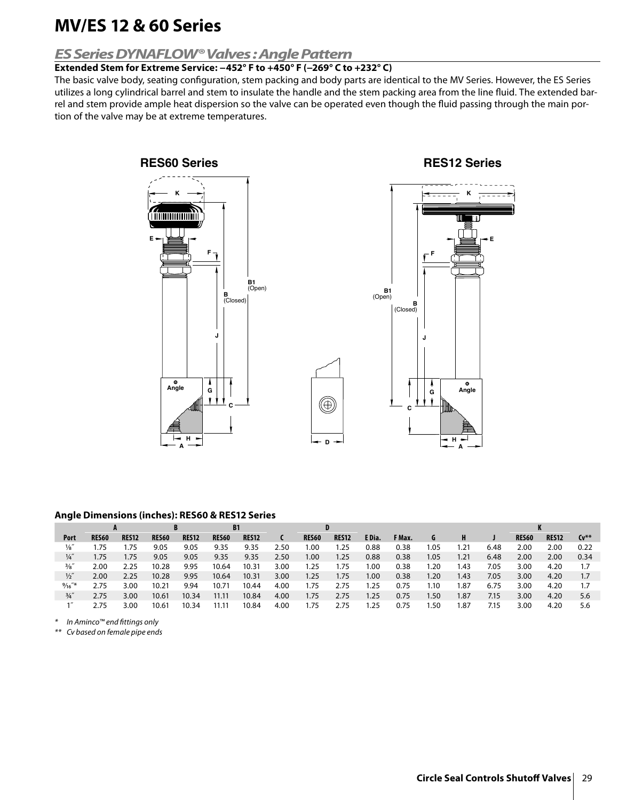### **ES Series DYNAFLOW® Valves : Angle Pattern**

### **Extended Stem for Extreme Service: −452° F to +450° F (−269° C to +232° C)**

The basic valve body, seating configuration, stem packing and body parts are identical to the MV Series. However, the ES Series utilizes a long cylindrical barrel and stem to insulate the handle and the stem packing area from the line fluid. The extended barrel and stem provide ample heat dispersion so the valve can be operated even though the fluid passing through the main portion of the valve may be at extreme temperatures.





#### **Angle Dimensions (inches): RES60 & RES12 Series**

|                 | A            |              | B            |              | <b>B1</b>    |              |      |              |              |        |        |      |      |      | n            |              |        |
|-----------------|--------------|--------------|--------------|--------------|--------------|--------------|------|--------------|--------------|--------|--------|------|------|------|--------------|--------------|--------|
| Port            | <b>RES60</b> | <b>RES12</b> | <b>RES60</b> | <b>RES12</b> | <b>RES60</b> | <b>RES12</b> |      | <b>RES60</b> | <b>RES12</b> | E Dia. | F Max. | G    |      |      | <b>RES60</b> | <b>RES12</b> | $Cv^*$ |
| 1⁄8″            | 75.،         | 1.75         | 9.05         | 9.05         | 9.35         | 9.35         | 2.50 | 00.١         | .25          | 0.88   | 0.38   | 1.05 | .21  | 6.48 | 2.00         | 2.00         | 0.22   |
| $\frac{1}{4}$   | 1.75         | 1.75         | 9.05         | 9.05         | 9.35         | 9.35         | 2.50 | 1.00         | 1.25         | 0.88   | 0.38   | 1.05 | 1.21 | 6.48 | 2.00         | 2.00         | 0.34   |
| $\frac{3}{8}$ " | 2.00         | 2.25         | 10.28        | 9.95         | 10.64        | 10.31        | 3.00 | 1.25         | 1.75         | 1.00   | 0.38   | .20  | .43  | 7.05 | 3.00         | 4.20         | 1.7    |
| $\frac{1}{2}$   | 2.00         | 2.25         | 10.28        | 9.95         | 10.64        | 10.31        | 3.00 | 1.25         | 1.75         | 1.00   | 0.38   | 1.20 | 1.43 | 7.05 | 3.00         | 4.20         | 1.7    |
| $\frac{9}{16}$  | 2.75         | 3.00         | 10.21        | 9.94         | 10.71        | 10.44        | 4.00 | 1.75         | 2.75         | 1.25   | 0.75   | 1.10 | 87،، | 6.75 | 3.00         | 4.20         | 1.7    |
| $\frac{3}{4}$   | 2.75         | 3.00         | 10.61        | 10.34        | 11.11        | 10.84        | 4.00 | 1.75         | 2.75         | 1.25   | 0.75   | 1.50 | 1.87 | 7.15 | 3.00         | 4.20         | 5.6    |
|                 | 2.75         | 3.00         | 10.61        | 10.34        | 11.11        | 10.84        | 4.00 | 1.75         | 2.75         | 1.25   | 0.75   | .50  | .87  | 7.15 | 3.00         | 4.20         | 5.6    |

**D**

⊕

In Aminco™ end fittings only

\*\* Cv based on female pipe ends